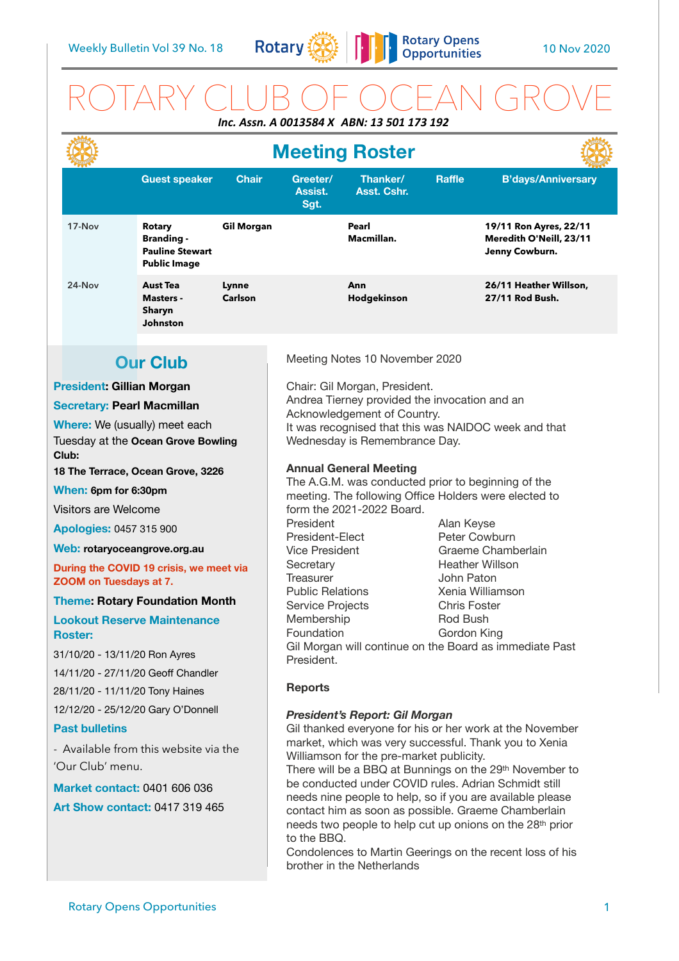

# ROTARY CLUB OF OCEAN GROVE *Inc. Assn. A 0013584 X ABN: 13 501 173 192*

|                                                             |                 |                                                                                     |                   | <b>Meeting Roster</b>                                                                                                                                                                                                                |                         |               |                                                                     |  |
|-------------------------------------------------------------|-----------------|-------------------------------------------------------------------------------------|-------------------|--------------------------------------------------------------------------------------------------------------------------------------------------------------------------------------------------------------------------------------|-------------------------|---------------|---------------------------------------------------------------------|--|
|                                                             |                 | <b>Guest speaker</b>                                                                | <b>Chair</b>      | Greeter/<br>Assist.<br>Sgt.                                                                                                                                                                                                          | Thanker/<br>Asst. Cshr. | <b>Raffle</b> | <b>B'days/Anniversary</b>                                           |  |
|                                                             | 17-Nov          | <b>Rotary</b><br><b>Branding -</b><br><b>Pauline Stewart</b><br><b>Public Image</b> | <b>Gil Morgan</b> |                                                                                                                                                                                                                                      | Pearl<br>Macmillan.     |               | 19/11 Ron Ayres, 22/11<br>Meredith O'Neill, 23/11<br>Jenny Cowburn. |  |
|                                                             | 24-Nov          | <b>Aust Tea</b><br><b>Masters -</b><br>Sharyn<br>Johnston                           | Lynne<br>Carlson  |                                                                                                                                                                                                                                      | Ann<br>Hodgekinson      |               | 26/11 Heather Willson,<br>27/11 Rod Bush.                           |  |
|                                                             |                 |                                                                                     |                   |                                                                                                                                                                                                                                      |                         |               |                                                                     |  |
|                                                             | <b>Our Club</b> |                                                                                     |                   | Meeting Notes 10 November 2020                                                                                                                                                                                                       |                         |               |                                                                     |  |
| <b>President: Gillian Morgan</b>                            |                 |                                                                                     |                   | Chair: Gil Morgan, President.                                                                                                                                                                                                        |                         |               |                                                                     |  |
| <b>Secretary: Pearl Macmillan</b>                           |                 |                                                                                     |                   | Andrea Tierney provided the invocation and an<br>Acknowledgement of Country.                                                                                                                                                         |                         |               |                                                                     |  |
| Where: We (usually) meet each                               |                 |                                                                                     |                   | It was recognised that this was NAIDOC week and that                                                                                                                                                                                 |                         |               |                                                                     |  |
| Tuesday at the Ocean Grove Bowling<br>Club:                 |                 |                                                                                     |                   | Wednesday is Remembrance Day.                                                                                                                                                                                                        |                         |               |                                                                     |  |
|                                                             |                 | 18 The Terrace, Ocean Grove, 3226                                                   |                   | <b>Annual General Meeting</b>                                                                                                                                                                                                        |                         |               |                                                                     |  |
| When: 6pm for 6:30pm                                        |                 |                                                                                     |                   | The A.G.M. was conducted prior to beginning of the<br>meeting. The following Office Holders were elected to                                                                                                                          |                         |               |                                                                     |  |
| Visitors are Welcome                                        |                 |                                                                                     |                   | form the 2021-2022 Board.                                                                                                                                                                                                            |                         |               |                                                                     |  |
| <b>Apologies: 0457 315 900</b>                              |                 |                                                                                     |                   | President<br>Alan Keyse                                                                                                                                                                                                              |                         |               |                                                                     |  |
| Web: rotaryoceangrove.org.au                                |                 |                                                                                     |                   | Peter Cowburn<br>President-Elect<br>Graeme Chamberlain<br><b>Vice President</b>                                                                                                                                                      |                         |               |                                                                     |  |
| During the COVID 19 crisis, we meet via                     |                 |                                                                                     |                   | <b>Heather Willson</b><br>Secretary                                                                                                                                                                                                  |                         |               |                                                                     |  |
| ZOOM on Tuesdays at 7.                                      |                 |                                                                                     |                   | <b>Treasurer</b><br>John Paton<br><b>Public Relations</b><br>Xenia Williamson                                                                                                                                                        |                         |               |                                                                     |  |
| <b>Theme: Rotary Foundation Month</b>                       |                 |                                                                                     |                   | <b>Chris Foster</b><br>Service Projects                                                                                                                                                                                              |                         |               |                                                                     |  |
| <b>Lookout Reserve Maintenance</b>                          |                 |                                                                                     |                   | Membership<br>Rod Bush<br>Foundation<br>Gordon King                                                                                                                                                                                  |                         |               |                                                                     |  |
| <b>Roster:</b>                                              |                 |                                                                                     |                   | Gil Morgan will continue on the Board as immediate Past                                                                                                                                                                              |                         |               |                                                                     |  |
| 31/10/20 - 13/11/20 Ron Ayres                               |                 |                                                                                     |                   | President.                                                                                                                                                                                                                           |                         |               |                                                                     |  |
| 14/11/20 - 27/11/20 Geoff Chandler                          |                 |                                                                                     |                   | <b>Reports</b>                                                                                                                                                                                                                       |                         |               |                                                                     |  |
| 28/11/20 - 11/11/20 Tony Haines                             |                 |                                                                                     |                   |                                                                                                                                                                                                                                      |                         |               |                                                                     |  |
| 12/12/20 - 25/12/20 Gary O'Donnell<br><b>Past bulletins</b> |                 |                                                                                     |                   | <b>President's Report: Gil Morgan</b>                                                                                                                                                                                                |                         |               |                                                                     |  |
|                                                             |                 |                                                                                     |                   | Gil thanked everyone for his or her work at the November<br>market, which was very successful. Thank you to Xenia                                                                                                                    |                         |               |                                                                     |  |
| - Available from this website via the<br>'Our Club' menu.   |                 |                                                                                     |                   | Williamson for the pre-market publicity.                                                                                                                                                                                             |                         |               |                                                                     |  |
| <b>Market contact: 0401 606 036</b>                         |                 |                                                                                     |                   | There will be a BBQ at Bunnings on the 29th November to<br>be conducted under COVID rules. Adrian Schmidt still                                                                                                                      |                         |               |                                                                     |  |
|                                                             |                 |                                                                                     |                   | needs nine people to help, so if you are available please                                                                                                                                                                            |                         |               |                                                                     |  |
| <b>Art Show contact: 0417 319 465</b>                       |                 |                                                                                     |                   | contact him as soon as possible. Graeme Chamberlain<br>needs two people to help cut up onions on the 28 <sup>th</sup> prior<br>to the BBQ.<br>Condolences to Martin Geerings on the recent loss of his<br>brother in the Netherlands |                         |               |                                                                     |  |
|                                                             |                 |                                                                                     |                   |                                                                                                                                                                                                                                      |                         |               |                                                                     |  |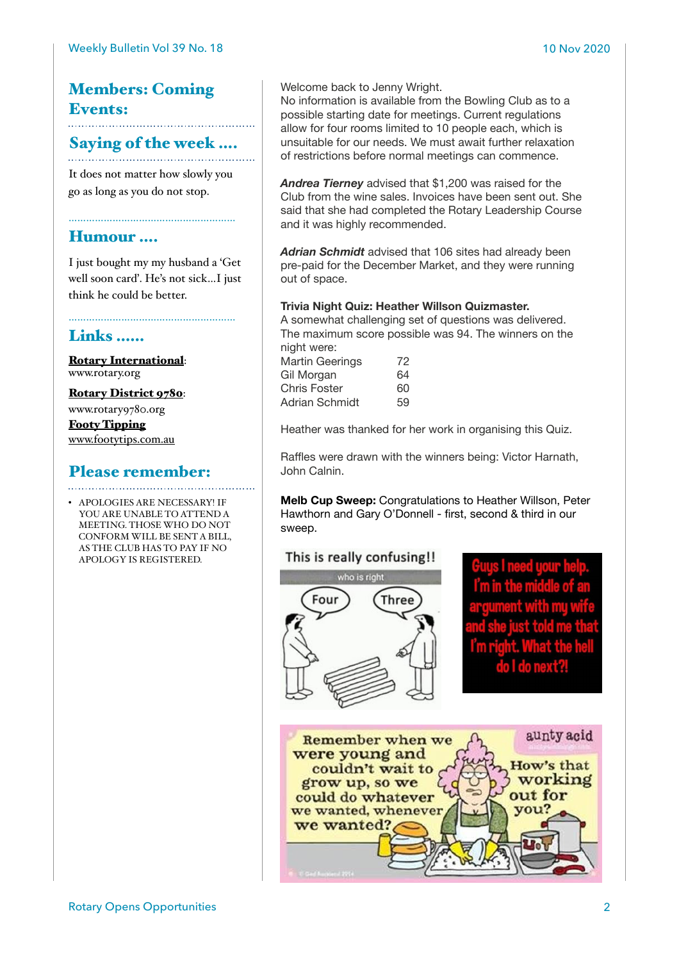## Members: Coming Events:

#### Saying of the week ….

It does not matter how slowly you go as long as you do not stop.

……………………………………………

#### Humour ….

I just bought my my husband a 'Get well soon card'. He's not sick…I just think he could be better.

### Links ……

[Rotary International](https://www.rotary.org): [www.rotary.org](http://www.rotary.org)

[Rotary District 9780](http://rotary9780.org):

[www.rotary9780.org](http://www.rotary9780.org)

[Footy Tipping](http://www.footytips.com.au) [www.footytips.com.au](http://www.footytips.com.au)

# Please remember:

• APOLOGIES ARE NECESSARY! IF YOU ARE UNABLE TO ATTEND A MEETING. THOSE WHO DO NOT CONFORM WILL BE SENT A BILL, AS THE CLUB HAS TO PAY IF NO APOLOGY IS REGISTERED.

Welcome back to Jenny Wright.

No information is available from the Bowling Club as to a possible starting date for meetings. Current regulations allow for four rooms limited to 10 people each, which is unsuitable for our needs. We must await further relaxation of restrictions before normal meetings can commence.

*Andrea Tierney* advised that \$1,200 was raised for the Club from the wine sales. Invoices have been sent out. She said that she had completed the Rotary Leadership Course and it was highly recommended.

*Adrian Schmidt* advised that 106 sites had already been pre-paid for the December Market, and they were running out of space.

#### **Trivia Night Quiz: Heather Willson Quizmaster.**

A somewhat challenging set of questions was delivered. The maximum score possible was 94. The winners on the night were:

Martin Geerings 72 Gil Morgan 64 Chris Foster 60 Adrian Schmidt 59

Heather was thanked for her work in organising this Quiz.

Raffles were drawn with the winners being: Victor Harnath, John Calnin.

**Melb Cup Sweep:** Congratulations to Heather Willson, Peter Hawthorn and Gary O'Donnell - first, second & third in our sweep.

#### This is really confusing!!